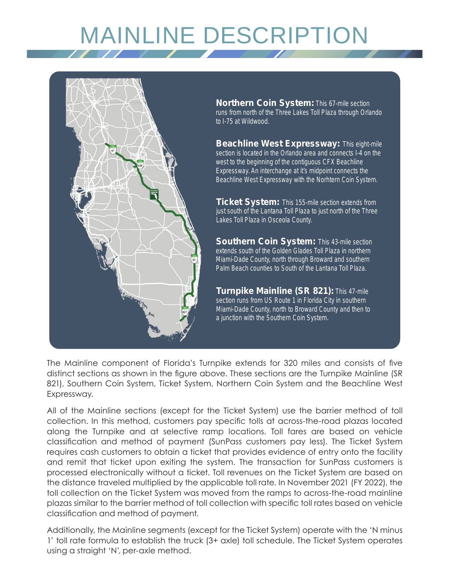# MAINLINE DESCRIPTION



**Northern Coin System:** This 67-mile section runs from north of the Three Lakes Toll Plaza through Orlando to I-75 at Wildwood.

**Beachline West Expressway:** This eight-mile section is located in the Orlando area and connects I-4 on the west to the beginning of the contiguous CFX Beachline Expressway. An interchange at it's midpoint connects the Beachline West Expressway with the Norhtern Coin System.

**Ticket System:** This 155-mile section extends from just south of the Lantana Toll Plaza to just north of the Three Lakes Toll Plaza in Osceola County.

**Southern Coin System: This 43-mile section** extends south of the Golden Glades Toll Plaza in northern Miami-Dade County, north through Broward and southern Palm Beach counties to South of the Lantana Toll Plaza.

**Turnpike Mainline (SR 821):** This 47-mile section runs from US Route 1 in Florida City in southern Miami-Dade County, north to Broward County and then to a junction with the Southern Coin System.

The Mainline component of Florida's Turnpike extends for 320 miles and consists of five distinct sections as shown in the figure above. These sections are the Turnpike Mainline (SR 821), Southern Coin System, Ticket System, Northern Coin System and the Beachline West Expressway.

All of the Mainline sections (except for the Ticket System) use the barrier method of toll collection. In this method, customers pay specific tolls at across-the-road plazas located along the Turnpike and at selective ramp locations. Toll fares are based on vehicle classification and method of payment (SunPass customers pay less). The Ticket System requires cash customers to obtain a ticket that provides evidence of entry onto the facility and remit that ticket upon exiting the system. The transaction for SunPass customers is processed electronically without a ticket. Toll revenues on the Ticket System are based on the distance traveled multiplied by the applicable toll rate. In November 2021 (FY 2022), the toll collection on the Ticket System was moved from the ramps to across-the-road mainline plazas similar to the barrier method of toll collection with specific toll rates based on vehicle classification and method of payment.

Additionally, the Mainline segments (except for the Ticket System) operate with the 'N minus 1' toll rate formula to establish the truck (3+ axle) toll schedule. The Ticket System operates using a straight 'N', per-axle method.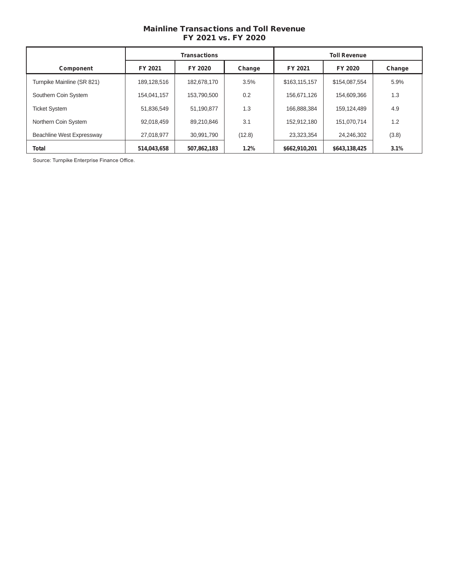# Mainline Transactions and Toll Revenue FY 2021 vs. FY 2020

|                            | <b>Transactions</b> |             | <b>Toll Revenue</b> |               |               |        |
|----------------------------|---------------------|-------------|---------------------|---------------|---------------|--------|
| Component                  | FY 2021             | FY 2020     | Change              | FY 2021       | FY 2020       | Change |
| Turnpike Mainline (SR 821) | 189,128,516         | 182,678,170 | 3.5%                | \$163,115,157 | \$154,087,554 | 5.9%   |
| Southern Coin System       | 154.041.157         | 153.790.500 | 0.2                 | 156.671.126   | 154,609,366   | 1.3    |
| <b>Ticket System</b>       | 51,836,549          | 51,190,877  | 1.3                 | 166,888,384   | 159,124,489   | 4.9    |
| Northern Coin System       | 92.018.459          | 89.210.846  | 3.1                 | 152.912.180   | 151.070.714   | 1.2    |
| Beachline West Expressway  | 27,018,977          | 30,991,790  | (12.8)              | 23,323,354    | 24,246,302    | (3.8)  |
| Total                      | 514,043,658         | 507,862,183 | 1.2%                | \$662,910,201 | \$643,138,425 | 3.1%   |

Source: Turnpike Enterprise Finance Office.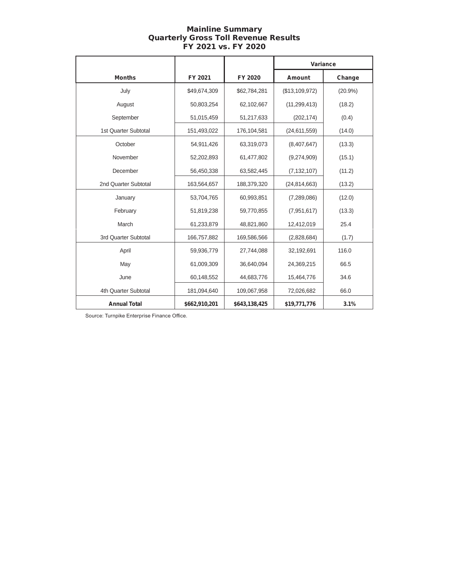# Mainline Summary Quarterly Gross Toll Revenue Results FY 2021 vs. FY 2020

|                      |               |               | Variance       |        |
|----------------------|---------------|---------------|----------------|--------|
| <b>Months</b>        | FY 2021       | FY 2020       | <b>Amount</b>  | Change |
| July                 | \$49,674,309  | \$62,784,281  | (\$13,109,972) | (20.9% |
| August               | 50,803,254    | 62,102,667    | (11, 299, 413) | (18.2) |
| September            | 51,015,459    | 51,217,633    | (202, 174)     | (0.4)  |
| 1st Quarter Subtotal | 151,493,022   | 176,104,581   | (24,611,559)   | (14.0) |
| October              | 54,911,426    | 63,319,073    | (8,407,647)    | (13.3) |
| November             | 52,202,893    | 61,477,802    | (9,274,909)    | (15.1) |
| December             | 56,450,338    | 63,582,445    | (7, 132, 107)  | (11.2) |
| 2nd Quarter Subtotal | 163,564,657   | 188,379,320   | (24, 814, 663) | (13.2) |
| January              | 53,704,765    | 60,993,851    | (7,289,086)    | (12.0) |
| February             | 51,819,238    | 59,770,855    | (7,951,617)    | (13.3) |
| March                | 61,233,879    | 48,821,860    | 12,412,019     | 25.4   |
| 3rd Quarter Subtotal | 166,757,882   | 169,586,566   | (2,828,684)    | (1.7)  |
| April                | 59,936,779    | 27,744,088    | 32,192,691     | 116.0  |
| May                  | 61,009,309    | 36,640,094    | 24,369,215     | 66.5   |
| June                 | 60,148,552    | 44,683,776    | 15,464,776     | 34.6   |
| 4th Quarter Subtotal | 181,094,640   | 109,067,958   | 72,026,682     | 66.0   |
| <b>Annual Total</b>  | \$662,910,201 | \$643,138,425 | \$19,771,776   | 3.1%   |

Source: Turnpike Enterprise Finance Office.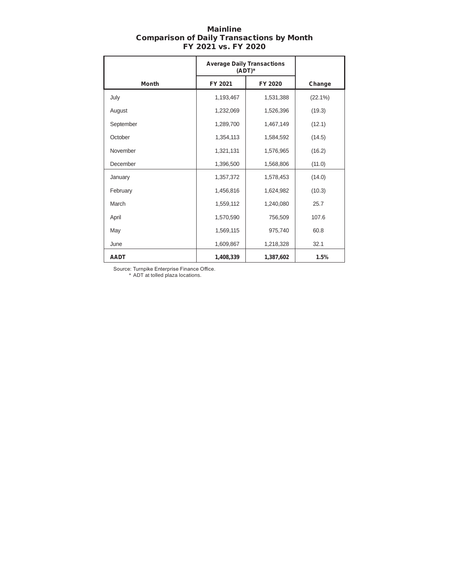| <b>Mainline</b>                                  |  |  |  |  |
|--------------------------------------------------|--|--|--|--|
| <b>Comparison of Daily Transactions by Month</b> |  |  |  |  |
| FY 2021 vs. FY 2020                              |  |  |  |  |

|              | <b>Average Daily Transactions</b><br>(ADT)* |           |            |
|--------------|---------------------------------------------|-----------|------------|
| <b>Month</b> | FY 2021                                     | FY 2020   | Change     |
| July         | 1,193,467                                   | 1,531,388 | $(22.1\%)$ |
| August       | 1,232,069                                   | 1,526,396 | (19.3)     |
| September    | 1,289,700                                   | 1,467,149 | (12.1)     |
| October      | 1,354,113                                   | 1,584,592 | (14.5)     |
| November     | 1,321,131                                   | 1,576,965 | (16.2)     |
| December     | 1,396,500                                   | 1,568,806 | (11.0)     |
| January      | 1,357,372                                   | 1,578,453 | (14.0)     |
| February     | 1,456,816                                   | 1,624,982 | (10.3)     |
| March        | 1,559,112                                   | 1,240,080 | 25.7       |
| April        | 1,570,590                                   | 756,509   | 107.6      |
| May          | 1,569,115                                   | 975,740   | 60.8       |
| June         | 1,609,867                                   | 1,218,328 | 32.1       |
| <b>AADT</b>  | 1,408,339                                   | 1,387,602 | 1.5%       |

Source: Turnpike Enterprise Finance Office. \* ADT at tolled plaza locations.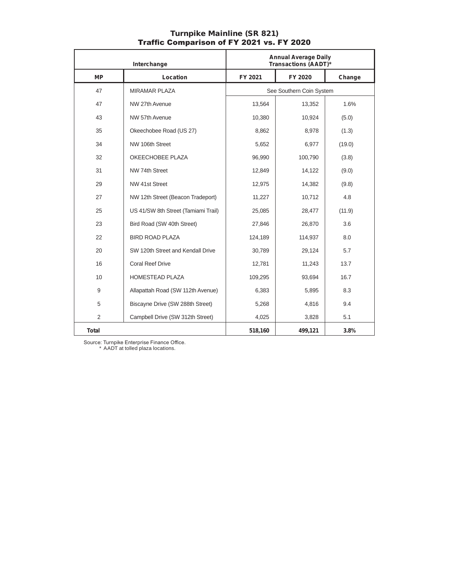| Interchange  |                                     |         | <b>Annual Average Daily</b><br>Transactions (AADT)* |        |
|--------------|-------------------------------------|---------|-----------------------------------------------------|--------|
| <b>MP</b>    | Location                            | FY 2021 | FY 2020                                             | Change |
| 47           | <b>MIRAMAR PLAZA</b>                |         | See Southern Coin System                            |        |
| 47           | NW 27th Avenue                      | 13,564  | 13,352                                              | 1.6%   |
| 43           | NW 57th Avenue                      | 10,380  | 10,924                                              | (5.0)  |
| 35           | Okeechobee Road (US 27)             | 8,862   | 8,978                                               | (1.3)  |
| 34           | NW 106th Street                     | 5,652   | 6,977                                               | (19.0) |
| 32           | OKEECHOBEE PLAZA                    | 96,990  | 100,790                                             | (3.8)  |
| 31           | NW 74th Street                      | 12,849  | 14,122                                              | (9.0)  |
| 29           | NW 41st Street                      | 12,975  | 14,382                                              | (9.8)  |
| 27           | NW 12th Street (Beacon Tradeport)   | 11,227  | 10,712                                              | 4.8    |
| 25           | US 41/SW 8th Street (Tamiami Trail) | 25,085  | 28,477                                              | (11.9) |
| 23           | Bird Road (SW 40th Street)          | 27,846  | 26,870                                              | 3.6    |
| 22           | <b>BIRD ROAD PLAZA</b>              | 124,189 | 114,937                                             | 8.0    |
| 20           | SW 120th Street and Kendall Drive   | 30,789  | 29,124                                              | 5.7    |
| 16           | <b>Coral Reef Drive</b>             | 12,781  | 11,243                                              | 13.7   |
| 10           | <b>HOMESTEAD PLAZA</b>              | 109,295 | 93,694                                              | 16.7   |
| 9            | Allapattah Road (SW 112th Avenue)   | 6,383   | 5,895                                               | 8.3    |
| 5            | Biscayne Drive (SW 288th Street)    | 5,268   | 4,816                                               | 9.4    |
| 2            | Campbell Drive (SW 312th Street)    | 4,025   | 3,828                                               | 5.1    |
| <b>Total</b> |                                     | 518,160 | 499.121                                             | 3.8%   |

#### Turnpike Mainline (SR 821) Traffic Comparison of FY 2021 vs. FY 2020

Source: Turnpike Enterprise Finance Office.

\* AADT at tolled plaza locations.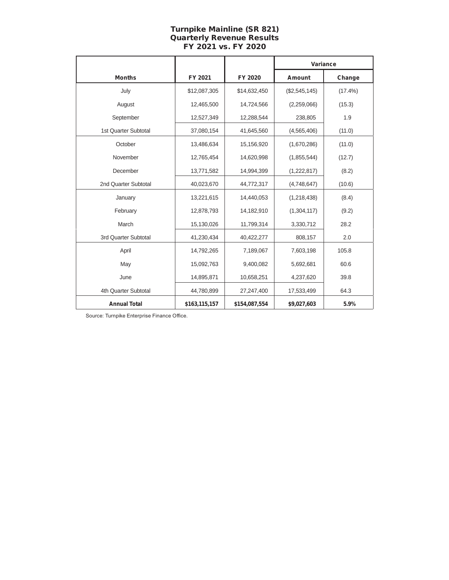# Turnpike Mainline (SR 821) Quarterly Revenue Results FY 2021 vs. FY 2020

|                      |               |               | Variance      |            |
|----------------------|---------------|---------------|---------------|------------|
| <b>Months</b>        | FY 2021       | FY 2020       | Amount        | Change     |
| July                 | \$12,087,305  | \$14,632,450  | (\$2,545,145) | $(17.4\%)$ |
| August               | 12,465,500    | 14,724,566    | (2,259,066)   | (15.3)     |
| September            | 12,527,349    | 12.288.544    | 238,805       | 1.9        |
| 1st Quarter Subtotal | 37,080,154    | 41,645,560    | (4,565,406)   | (11.0)     |
| October              | 13,486,634    | 15,156,920    | (1,670,286)   | (11.0)     |
| November             | 12,765,454    | 14,620,998    | (1,855,544)   | (12.7)     |
| December             | 13,771,582    | 14,994,399    | (1,222,817)   | (8.2)      |
| 2nd Quarter Subtotal | 40,023,670    | 44,772,317    | (4,748,647)   | (10.6)     |
| January              | 13,221,615    | 14,440,053    | (1,218,438)   | (8.4)      |
| February             | 12,878,793    | 14,182,910    | (1,304,117)   | (9.2)      |
| March                | 15,130,026    | 11,799,314    | 3,330,712     | 28.2       |
| 3rd Quarter Subtotal | 41,230,434    | 40,422,277    | 808,157       | 2.0        |
| April                | 14,792,265    | 7,189,067     | 7,603,198     | 105.8      |
| May                  | 15,092,763    | 9,400,082     | 5,692,681     | 60.6       |
| June                 | 14,895,871    | 10,658,251    | 4,237,620     | 39.8       |
| 4th Quarter Subtotal | 44,780,899    | 27,247,400    | 17,533,499    | 64.3       |
| <b>Annual Total</b>  | \$163,115,157 | \$154,087,554 | \$9,027,603   | 5.9%       |

Source: Turnpike Enterprise Finance Office.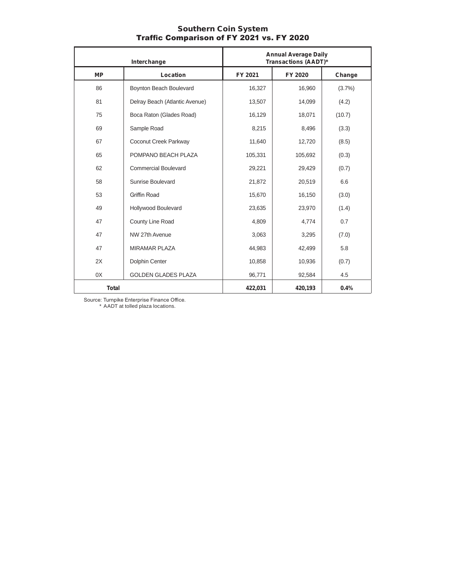| Interchange  |                                | <b>Annual Average Daily</b><br>Transactions (AADT)* |         |           |
|--------------|--------------------------------|-----------------------------------------------------|---------|-----------|
| <b>MP</b>    | Location                       | FY 2021                                             | FY 2020 | Change    |
| 86           | Boynton Beach Boulevard        | 16,327                                              | 16,960  | $(3.7\%)$ |
| 81           | Delray Beach (Atlantic Avenue) | 13,507                                              | 14,099  | (4.2)     |
| 75           | Boca Raton (Glades Road)       | 16,129                                              | 18,071  | (10.7)    |
| 69           | Sample Road                    | 8,215                                               | 8,496   | (3.3)     |
| 67           | Coconut Creek Parkway          | 11,640                                              | 12,720  | (8.5)     |
| 65           | POMPANO BEACH PLAZA            | 105,331                                             | 105,692 | (0.3)     |
| 62           | <b>Commercial Boulevard</b>    | 29,221                                              | 29,429  | (0.7)     |
| 58           | Sunrise Boulevard              | 21,872                                              | 20,519  | 6.6       |
| 53           | <b>Griffin Road</b>            | 15,670                                              | 16,150  | (3.0)     |
| 49           | Hollywood Boulevard            | 23,635                                              | 23,970  | (1.4)     |
| 47           | County Line Road               | 4,809                                               | 4,774   | 0.7       |
| 47           | NW 27th Avenue                 | 3,063                                               | 3,295   | (7.0)     |
| 47           | <b>MIRAMAR PLAZA</b>           | 44,983                                              | 42,499  | 5.8       |
| 2X           | Dolphin Center                 | 10,858                                              | 10,936  | (0.7)     |
| 0X           | <b>GOLDEN GLADES PLAZA</b>     | 96,771                                              | 92,584  | 4.5       |
| <b>Total</b> |                                | 422,031                                             | 420,193 | 0.4%      |

#### Southern Coin System Traffic Comparison of FY 2021 vs. FY 2020

Source: Turnpike Enterprise Finance Office.

\* AADT at tolled plaza locations.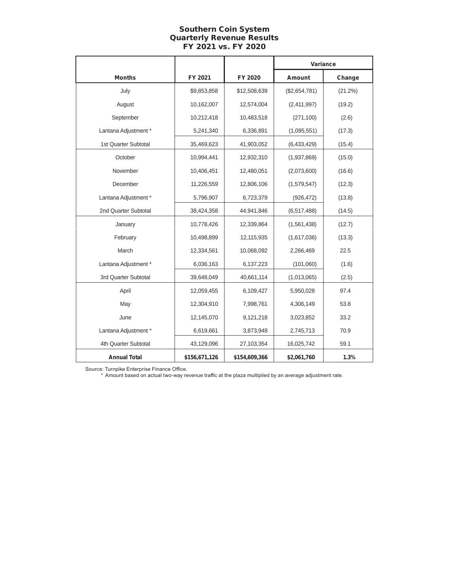# Southern Coin System Quarterly Revenue Results FY 2021 vs. FY 2020

|                      |               |               | Variance      |         |
|----------------------|---------------|---------------|---------------|---------|
| <b>Months</b>        | FY 2021       | FY 2020       | Amount        | Change  |
| July                 | \$9,853,858   | \$12,508,639  | (\$2,654,781) | (21.2%) |
| August               | 10,162,007    | 12,574,004    | (2,411,997)   | (19.2)  |
| September            | 10,212,418    | 10,483,518    | (271, 100)    | (2.6)   |
| Lantana Adjustment * | 5,241,340     | 6,336,891     | (1,095,551)   | (17.3)  |
| 1st Quarter Subtotal | 35,469,623    | 41,903,052    | (6,433,429)   | (15.4)  |
| October              | 10,994,441    | 12,932,310    | (1,937,869)   | (15.0)  |
| November             | 10,406,451    | 12,480,051    | (2,073,600)   | (16.6)  |
| December             | 11,226,559    | 12,806,106    | (1,579,547)   | (12.3)  |
| Lantana Adjustment * | 5,796,907     | 6,723,379     | (926, 472)    | (13.8)  |
| 2nd Quarter Subtotal | 38,424,358    | 44,941,846    | (6, 517, 488) | (14.5)  |
| January              | 10,778,426    | 12,339,864    | (1,561,438)   | (12.7)  |
| February             | 10,498,899    | 12,115,935    | (1,617,036)   | (13.3)  |
| March                | 12,334,561    | 10,068,092    | 2,266,469     | 22.5    |
| Lantana Adjustment * | 6,036,163     | 6,137,223     | (101,060)     | (1.6)   |
| 3rd Quarter Subtotal | 39,648,049    | 40,661,114    | (1,013,065)   | (2.5)   |
| April                | 12,059,455    | 6,109,427     | 5,950,028     | 97.4    |
| May                  | 12,304,910    | 7,998,761     | 4,306,149     | 53.8    |
| June                 | 12,145,070    | 9,121,218     | 3,023,852     | 33.2    |
| Lantana Adjustment * | 6,619,661     | 3,873,948     | 2,745,713     | 70.9    |
| 4th Quarter Subtotal | 43,129,096    | 27,103,354    | 16,025,742    | 59.1    |
| <b>Annual Total</b>  | \$156,671,126 | \$154,609,366 | \$2,061,760   | 1.3%    |

Source: Turnpike Enterprise Finance Office.

\* Amount based on actual two-way revenue traffic at the plaza multiplied by an average adjustment rate.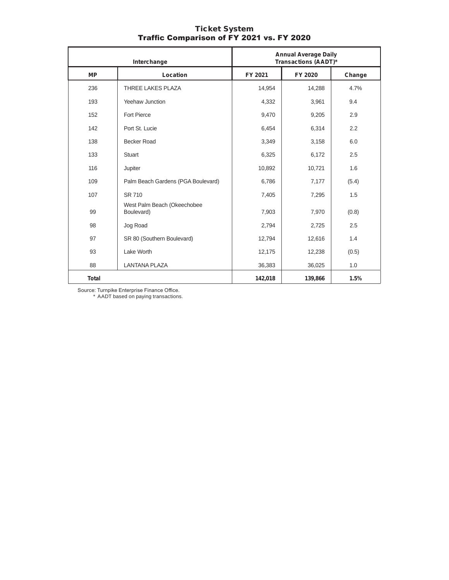|              | Interchange                               |         | <b>Annual Average Daily</b><br>Transactions (AADT)* |        |
|--------------|-------------------------------------------|---------|-----------------------------------------------------|--------|
| <b>MP</b>    | Location                                  | FY 2021 | FY 2020                                             | Change |
| 236          | <b>THREE LAKES PLAZA</b>                  | 14,954  | 14,288                                              | 4.7%   |
| 193          | Yeehaw Junction                           | 4,332   | 3,961                                               | 9.4    |
| 152          | Fort Pierce                               | 9,470   | 9,205                                               | 2.9    |
| 142          | Port St. Lucie                            | 6,454   | 6,314                                               | 2.2    |
| 138          | <b>Becker Road</b>                        | 3,349   | 3,158                                               | 6.0    |
| 133          | <b>Stuart</b>                             | 6,325   | 6,172                                               | 2.5    |
| 116          | Jupiter                                   | 10,892  | 10,721                                              | 1.6    |
| 109          | Palm Beach Gardens (PGA Boulevard)        | 6,786   | 7,177                                               | (5.4)  |
| 107          | SR 710                                    | 7,405   | 7,295                                               | 1.5    |
| 99           | West Palm Beach (Okeechobee<br>Boulevard) | 7,903   | 7,970                                               | (0.8)  |
| 98           | Jog Road                                  | 2,794   | 2,725                                               | 2.5    |
| 97           | SR 80 (Southern Boulevard)                | 12,794  | 12,616                                              | 1.4    |
| 93           | Lake Worth                                | 12,175  | 12,238                                              | (0.5)  |
| 88           | <b>LANTANA PLAZA</b>                      | 36,383  | 36,025                                              | 1.0    |
| <b>Total</b> |                                           | 142,018 | 139,866                                             | 1.5%   |

#### Ticket System Traffic Comparison of FY 2021 vs. FY 2020

Source: Turnpike Enterprise Finance Office. \* AADT based on paying transactions.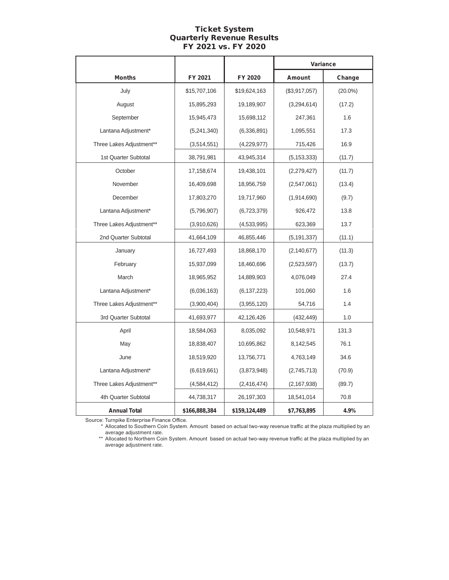## Ticket System Quarterly Revenue Results FY 2021 vs. FY 2020

|                          |               |               | Variance      |            |
|--------------------------|---------------|---------------|---------------|------------|
| <b>Months</b>            | FY 2021       | FY 2020       | <b>Amount</b> | Change     |
| July                     | \$15,707,106  | \$19,624,163  | (\$3,917,057) | $(20.0\%)$ |
| August                   | 15,895,293    | 19,189,907    | (3,294,614)   | (17.2)     |
| September                | 15,945,473    | 15,698,112    | 247,361       | 1.6        |
| Lantana Adjustment*      | (5,241,340)   | (6,336,891)   | 1,095,551     | 17.3       |
| Three Lakes Adjustment** | (3,514,551)   | (4,229,977)   | 715,426       | 16.9       |
| 1st Quarter Subtotal     | 38,791,981    | 43,945,314    | (5, 153, 333) | (11.7)     |
| October                  | 17,158,674    | 19,438,101    | (2,279,427)   | (11.7)     |
| November                 | 16,409,698    | 18,956,759    | (2,547,061)   | (13.4)     |
| December                 | 17,803,270    | 19,717,960    | (1,914,690)   | (9.7)      |
| Lantana Adjustment*      | (5,796,907)   | (6,723,379)   | 926,472       | 13.8       |
| Three Lakes Adjustment** | (3,910,626)   | (4,533,995)   | 623,369       | 13.7       |
| 2nd Quarter Subtotal     | 41,664,109    | 46,855,446    | (5, 191, 337) | (11.1)     |
| January                  | 16,727,493    | 18,868,170    | (2, 140, 677) | (11.3)     |
| February                 | 15,937,099    | 18,460,696    | (2,523,597)   | (13.7)     |
| March                    | 18,965,952    | 14,889,903    | 4,076,049     | 27.4       |
| Lantana Adjustment*      | (6,036,163)   | (6, 137, 223) | 101,060       | 1.6        |
| Three Lakes Adjustment** | (3,900,404)   | (3,955,120)   | 54,716        | 1.4        |
| 3rd Quarter Subtotal     | 41,693,977    | 42,126,426    | (432, 449)    | 1.0        |
| April                    | 18,584,063    | 8,035,092     | 10,548,971    | 131.3      |
| May                      | 18,838,407    | 10,695,862    | 8,142,545     | 76.1       |
| June                     | 18,519,920    | 13,756,771    | 4,763,149     | 34.6       |
| Lantana Adjustment*      | (6,619,661)   | (3,873,948)   | (2,745,713)   | (70.9)     |
| Three Lakes Adjustment** | (4,584,412)   | (2, 416, 474) | (2, 167, 938) | (89.7)     |
| 4th Quarter Subtotal     | 44,738,317    | 26,197,303    | 18,541,014    | 70.8       |
| <b>Annual Total</b>      | \$166,888,384 | \$159,124,489 | \$7,763,895   | 4.9%       |

Source: Turnpike Enterprise Finance Office.

\* Allocated to Southern Coin System. Amount based on actual two-way revenue traffic at the plaza multiplied by an average adjustment rate.

\*\* Allocated to Northern Coin System. Amount based on actual two-way revenue traffic at the plaza multiplied by an average adjustment rate.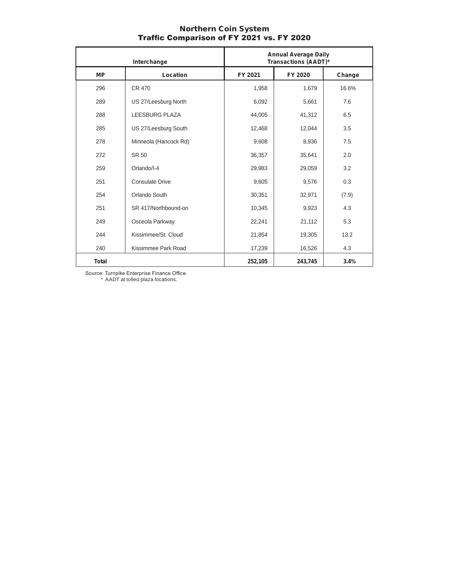#### Northern Coin System Traffic Comparison of FY 2021 vs. FY 2020

| Interchange  |                       | <b>Annual Average Daily</b><br>Transactions (AADT)* |         |        |
|--------------|-----------------------|-----------------------------------------------------|---------|--------|
| <b>MP</b>    | Location              | FY 2021                                             | FY 2020 | Change |
| 296          | <b>CR 470</b>         | 1,958                                               | 1,679   | 16.6%  |
| 289          | US 27/Leesburg North  | 6,092                                               | 5,661   | 7.6    |
| 288          | <b>LEESBURG PLAZA</b> | 44.005                                              | 41,312  | 6.5    |
| 285          | US 27/Leesburg South  | 12,468                                              | 12,044  | 3.5    |
| 278          | Minneola (Hancock Rd) | 9,608                                               | 8,936   | 7.5    |
| 272          | SR 50                 | 36,357                                              | 35,641  | 2.0    |
| 259          | Orlando/I-4           | 29,983                                              | 29,059  | 3.2    |
| 251          | Consulate Drive       | 9,605                                               | 9,576   | 0.3    |
| 254          | Orlando South         | 30,351                                              | 32,971  | (7.9)  |
| 251          | SR 417/Northbound-on  | 10,345                                              | 9,923   | 4.3    |
| 249          | Osceola Parkway       | 22,241                                              | 21,112  | 5.3    |
| 244          | Kissimmee/St. Cloud   | 21,854                                              | 19,305  | 13.2   |
| 240          | Kissimmee Park Road   | 17,239                                              | 16,526  | 4.3    |
| <b>Total</b> |                       | 252,105                                             | 243,745 | 3.4%   |

Source: Turnpike Enterprise Finance Office.

\* AADT at tolled plaza locations.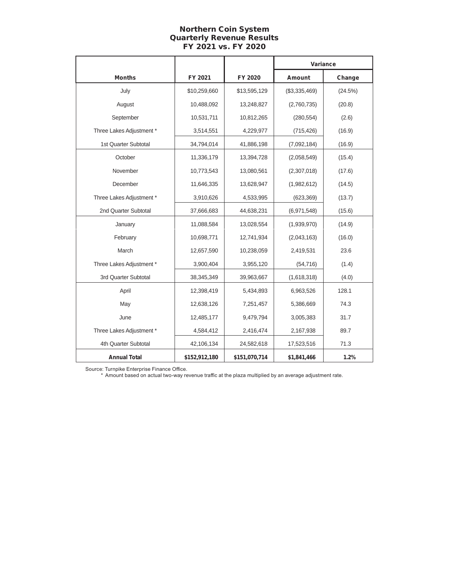# Northern Coin System Quarterly Revenue Results FY 2021 vs. FY 2020

|                          |               |               | Variance      |         |
|--------------------------|---------------|---------------|---------------|---------|
| <b>Months</b>            | FY 2021       | FY 2020       | Amount        | Change  |
| July                     | \$10,259,660  | \$13,595,129  | (\$3,335,469) | (24.5%) |
| August                   | 10,488,092    | 13,248,827    | (2,760,735)   | (20.8)  |
| September                | 10,531,711    | 10,812,265    | (280, 554)    | (2.6)   |
| Three Lakes Adjustment * | 3,514,551     | 4,229,977     | (715, 426)    | (16.9)  |
| 1st Quarter Subtotal     | 34,794,014    | 41,886,198    | (7,092,184)   | (16.9)  |
| October                  | 11,336,179    | 13,394,728    | (2,058,549)   | (15.4)  |
| November                 | 10,773,543    | 13,080,561    | (2,307,018)   | (17.6)  |
| December                 | 11,646,335    | 13,628,947    | (1,982,612)   | (14.5)  |
| Three Lakes Adjustment * | 3,910,626     | 4,533,995     | (623, 369)    | (13.7)  |
| 2nd Quarter Subtotal     | 37,666,683    | 44,638,231    | (6,971,548)   | (15.6)  |
| January                  | 11,088,584    | 13,028,554    | (1,939,970)   | (14.9)  |
| February                 | 10,698,771    | 12,741,934    | (2,043,163)   | (16.0)  |
| March                    | 12,657,590    | 10,238,059    | 2,419,531     | 23.6    |
| Three Lakes Adjustment * | 3,900,404     | 3,955,120     | (54, 716)     | (1.4)   |
| 3rd Quarter Subtotal     | 38,345,349    | 39,963,667    | (1,618,318)   | (4.0)   |
| April                    | 12,398,419    | 5,434,893     | 6,963,526     | 128.1   |
| May                      | 12,638,126    | 7,251,457     | 5,386,669     | 74.3    |
| June                     | 12,485,177    | 9,479,794     | 3,005,383     | 31.7    |
| Three Lakes Adjustment * | 4,584,412     | 2,416,474     | 2,167,938     | 89.7    |
| 4th Quarter Subtotal     | 42,106,134    | 24,582,618    | 17,523,516    | 71.3    |
| <b>Annual Total</b>      | \$152,912,180 | \$151,070,714 | \$1,841,466   | 1.2%    |

Source: Turnpike Enterprise Finance Office.

\* Amount based on actual two-way revenue traffic at the plaza multiplied by an average adjustment rate.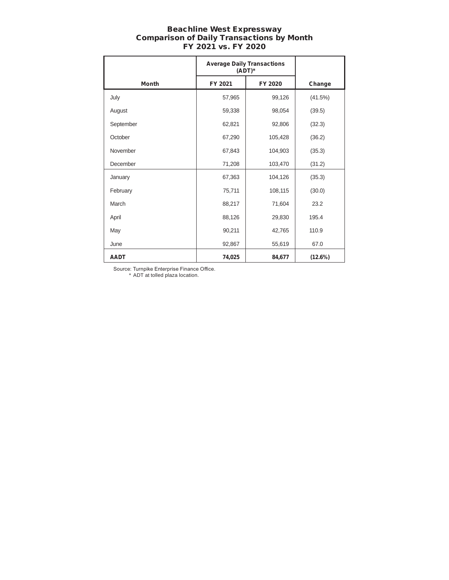### Beachline West Expressway Comparison of Daily Transactions by Month FY 2021 vs. FY 2020

|              | <b>Average Daily Transactions</b><br>$(ADT)^*$ |         |         |
|--------------|------------------------------------------------|---------|---------|
| <b>Month</b> | FY 2021                                        | FY 2020 | Change  |
| July         | 57,965                                         | 99,126  | (41.5%) |
| August       | 59,338                                         | 98,054  | (39.5)  |
| September    | 62,821                                         | 92,806  | (32.3)  |
| October      | 67,290                                         | 105,428 | (36.2)  |
| November     | 67,843                                         | 104,903 | (35.3)  |
| December     | 71,208                                         | 103,470 | (31.2)  |
| January      | 67,363                                         | 104,126 | (35.3)  |
| February     | 75,711                                         | 108,115 | (30.0)  |
| March        | 88,217                                         | 71,604  | 23.2    |
| April        | 88,126                                         | 29,830  | 195.4   |
| May          | 90,211                                         | 42,765  | 110.9   |
| June         | 92,867                                         | 55,619  | 67.0    |
| <b>AADT</b>  | 74,025                                         | 84,677  | (12.6%) |

Source: Turnpike Enterprise Finance Office. \* ADT at tolled plaza location.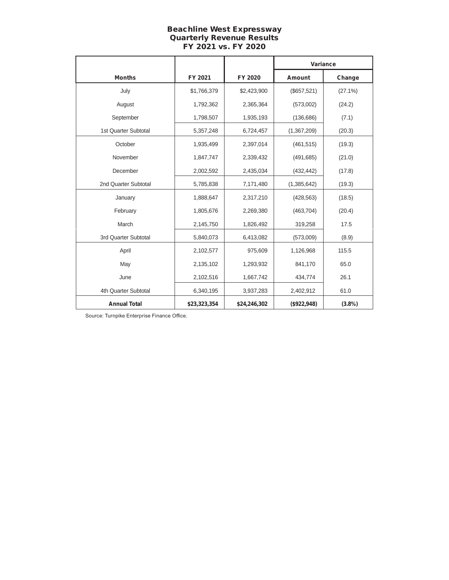# Beachline West Expressway Quarterly Revenue Results FY 2021 vs. FY 2020

|                      |              |              | Variance    |            |
|----------------------|--------------|--------------|-------------|------------|
| <b>Months</b>        | FY 2021      | FY 2020      | Amount      | Change     |
| July                 | \$1,766,379  | \$2,423,900  | (\$657,521) | $(27.1\%)$ |
| August               | 1,792,362    | 2,365,364    | (573,002)   | (24.2)     |
| September            | 1,798,507    | 1,935,193    | (136, 686)  | (7.1)      |
| 1st Quarter Subtotal | 5,357,248    | 6,724,457    | (1,367,209) | (20.3)     |
| October              | 1,935,499    | 2,397,014    | (461, 515)  | (19.3)     |
| November             | 1,847,747    | 2,339,432    | (491, 685)  | (21.0)     |
| December             | 2,002,592    | 2,435,034    | (432, 442)  | (17.8)     |
| 2nd Quarter Subtotal | 5,785,838    | 7,171,480    | (1,385,642) | (19.3)     |
| January              | 1,888,647    | 2,317,210    | (428, 563)  | (18.5)     |
| February             | 1,805,676    | 2,269,380    | (463, 704)  | (20.4)     |
| March                | 2,145,750    | 1,826,492    | 319,258     | 17.5       |
| 3rd Quarter Subtotal | 5,840,073    | 6,413,082    | (573,009)   | (8.9)      |
| April                | 2,102,577    | 975,609      | 1,126,968   | 115.5      |
| May                  | 2,135,102    | 1,293,932    | 841,170     | 65.0       |
| June                 | 2,102,516    | 1,667,742    | 434,774     | 26.1       |
| 4th Quarter Subtotal | 6,340,195    | 3,937,283    | 2,402,912   | 61.0       |
| <b>Annual Total</b>  | \$23,323,354 | \$24,246,302 | (\$922,948) | (3.8%)     |

Source: Turnpike Enterprise Finance Office.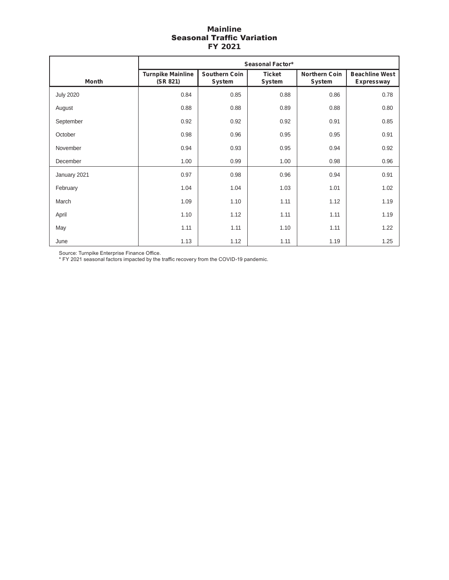#### Mainline Seasonal Traffic Variation FY 2021

|                  | <b>Seasonal Factor*</b>              |                                |                                |                                |                                     |
|------------------|--------------------------------------|--------------------------------|--------------------------------|--------------------------------|-------------------------------------|
| <b>Month</b>     | <b>Turnpike Mainline</b><br>(SR 821) | <b>Southern Coin</b><br>System | <b>Ticket</b><br><b>System</b> | <b>Northern Coin</b><br>System | <b>Beachline West</b><br>Expressway |
| <b>July 2020</b> | 0.84                                 | 0.85                           | 0.88                           | 0.86                           | 0.78                                |
| August           | 0.88                                 | 0.88                           | 0.89                           | 0.88                           | 0.80                                |
| September        | 0.92                                 | 0.92                           | 0.92                           | 0.91                           | 0.85                                |
| October          | 0.98                                 | 0.96                           | 0.95                           | 0.95                           | 0.91                                |
| November         | 0.94                                 | 0.93                           | 0.95                           | 0.94                           | 0.92                                |
| December         | 1.00                                 | 0.99                           | 1.00                           | 0.98                           | 0.96                                |
| January 2021     | 0.97                                 | 0.98                           | 0.96                           | 0.94                           | 0.91                                |
| February         | 1.04                                 | 1.04                           | 1.03                           | 1.01                           | 1.02                                |
| March            | 1.09                                 | 1.10                           | 1.11                           | 1.12                           | 1.19                                |
| April            | 1.10                                 | 1.12                           | 1.11                           | 1.11                           | 1.19                                |
| May              | 1.11                                 | 1.11                           | 1.10                           | 1.11                           | 1.22                                |
| June             | 1.13                                 | 1.12                           | 1.11                           | 1.19                           | 1.25                                |

Source: Turnpike Enterprise Finance Office.

\* FY 2021 seasonal factors impacted by the traffic recovery from the COVID-19 pandemic.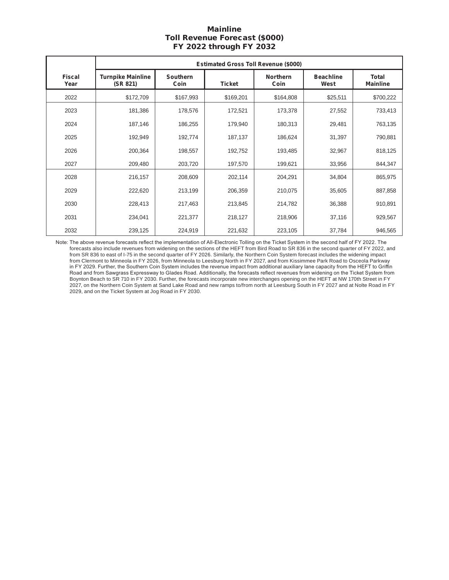# Mainline Toll Revenue Forecast (\$000) FY 2022 through FY 2032

|                       | <b>Estimated Gross Toll Revenue (\$000)</b> |                         |               |                         |                          |                                 |
|-----------------------|---------------------------------------------|-------------------------|---------------|-------------------------|--------------------------|---------------------------------|
| <b>Fiscal</b><br>Year | <b>Turnpike Mainline</b><br>(SR 821)        | <b>Southern</b><br>Coin | <b>Ticket</b> | <b>Northern</b><br>Coin | <b>Beachline</b><br>West | <b>Total</b><br><b>Mainline</b> |
| 2022                  | \$172,709                                   | \$167,993               | \$169,201     | \$164,808               | \$25,511                 | \$700,222                       |
| 2023                  | 181,386                                     | 178,576                 | 172,521       | 173,378                 | 27,552                   | 733,413                         |
| 2024                  | 187,146                                     | 186,255                 | 179,940       | 180,313                 | 29,481                   | 763,135                         |
| 2025                  | 192,949                                     | 192,774                 | 187,137       | 186,624                 | 31,397                   | 790,881                         |
| 2026                  | 200,364                                     | 198,557                 | 192,752       | 193,485                 | 32,967                   | 818,125                         |
| 2027                  | 209,480                                     | 203,720                 | 197,570       | 199,621                 | 33,956                   | 844,347                         |
| 2028                  | 216,157                                     | 208,609                 | 202,114       | 204,291                 | 34,804                   | 865,975                         |
| 2029                  | 222,620                                     | 213,199                 | 206,359       | 210,075                 | 35,605                   | 887,858                         |
| 2030                  | 228,413                                     | 217,463                 | 213,845       | 214,782                 | 36,388                   | 910,891                         |
| 2031                  | 234,041                                     | 221,377                 | 218,127       | 218,906                 | 37,116                   | 929,567                         |
| 2032                  | 239,125                                     | 224,919                 | 221,632       | 223,105                 | 37,784                   | 946,565                         |

Note: The above revenue forecasts reflect the implementation of All-Electronic Tolling on the Ticket System in the second half of FY 2022. The forecasts also include revenues from widening on the sections of the HEFT from Bird Road to SR 836 in the second quarter of FY 2022, and from SR 836 to east of I-75 in the second quarter of FY 2026. Similarly, the Northern Coin System forecast includes the widening impact from Clermont to Minneola in FY 2026, from Minneola to Leesburg North in FY 2027, and from Kissimmee Park Road to Osceola Parkway in FY 2029. Further, the Southern Coin System includes the revenue impact from additional auxiliary lane capacity from the HEFT to Griffin Road and from Sawgrass Expressway to Glades Road. Additionally, the forecasts reflect revenues from widening on the Ticket System from Boynton Beach to SR 710 in FY 2030. Further, the forecasts incorporate new interchanges opening on the HEFT at NW 170th Street in FY 2027, on the Northern Coin System at Sand Lake Road and new ramps to/from north at Leesburg South in FY 2027 and at Nolte Road in FY 2029, and on the Ticket System at Jog Road in FY 2030.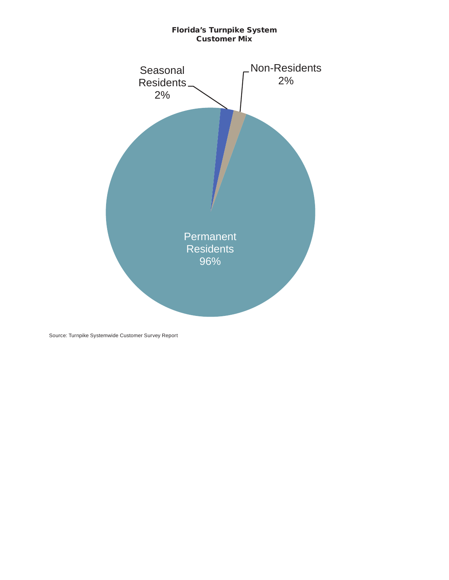## Florida's Turnpike System Customer Mix



Source: Turnpike Systemwide Customer Survey Report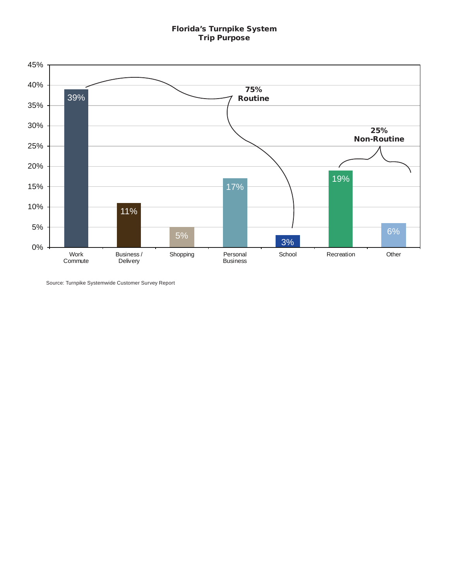# Florida's Turnpike System Trip Purpose



Source: Turnpike Systemwide Customer Survey Report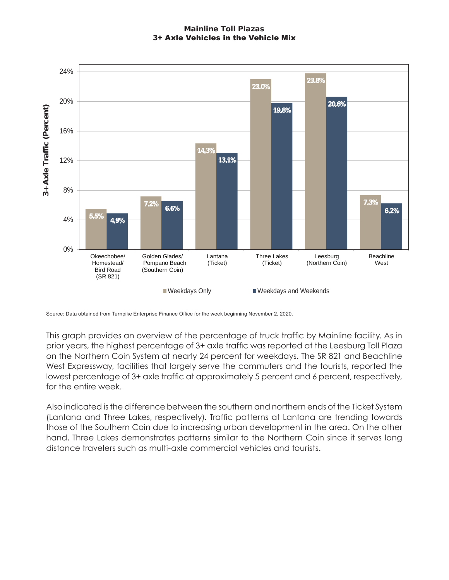# Mainline Toll Plazas 3+ Axle Vehicles in the Vehicle Mix



Source: Data obtained from Turnpike Enterprise Finance Office for the week beginning November 2, 2020.

This graph provides an overview of the percentage of truck traffic by Mainline facility. As in prior years, the highest percentage of 3+ axle traffic was reported at the Leesburg Toll Plaza on the Northern Coin System at nearly 24 percent for weekdays. The SR 821 and Beachline West Expressway, facilities that largely serve the commuters and the tourists, reported the lowest percentage of 3+ axle traffic at approximately 5 percent and 6 percent, respectively, for the entire week.

Also indicated is the difference between the southern and northern ends of the Ticket System (Lantana and Three Lakes, respectively). Traffic patterns at Lantana are trending towards those of the Southern Coin due to increasing urban development in the area. On the other hand, Three Lakes demonstrates patterns similar to the Northern Coin since it serves long distance travelers such as multi-axle commercial vehicles and tourists.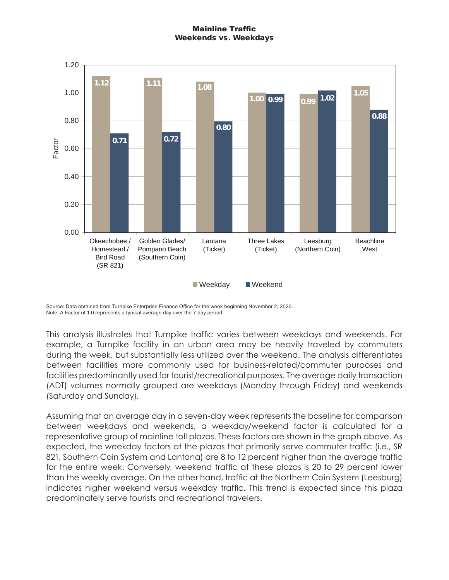# Mainline Traffic Weekends vs. Weekdays



Source: Data obtained from Turnpike Enterprise Finance Office for the week beginning November 2, 2020. Note: A Factor of 1.0 represents a typical average day over the 7-day period.

This analysis illustrates that Turnpike traffic varies between weekdays and weekends. For example, a Turnpike facility in an urban area may be heavily traveled by commuters during the week, but substantially less utilized over the weekend. The analysis differentiates between facilities more commonly used for business-related/commuter purposes and facilities predominantly used for tourist/recreational purposes. The average daily transaction (ADT) volumes normally grouped are weekdays (Monday through Friday) and weekends (Saturday and Sunday).

Assuming that an average day in a seven-day week represents the baseline for comparison between weekdays and weekends, a weekday/weekend factor is calculated for a representative group of mainline toll plazas. These factors are shown in the graph above. As expected, the weekday factors at the plazas that primarily serve commuter traffic (i.e., SR 821, Southern Coin System and Lantana) are 8 to 12 percent higher than the average traffic for the entire week. Conversely, weekend traffic at these plazas is 20 to 29 percent lower than the weekly average. On the other hand, traffic at the Northern Coin System (Leesburg) indicates higher weekend versus weekday traffic. This trend is expected since this plaza predominately serve tourists and recreational travelers.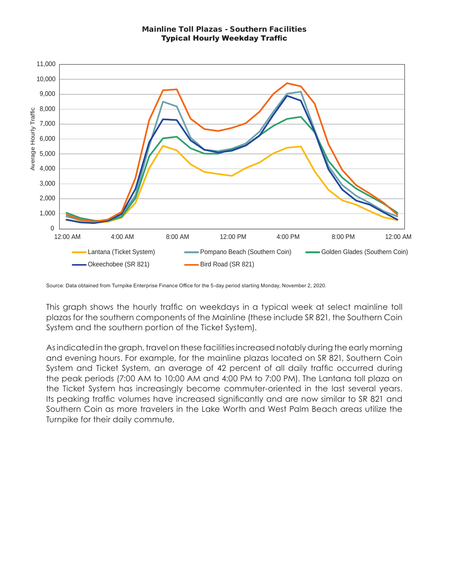#### Mainline Toll Plazas - Southern Facilities Typical Hourly Weekday Traffic



Source: Data obtained from Turnpike Enterprise Finance Office for the 5-day period starting Monday, November 2, 2020.

This graph shows the hourly traffic on weekdays in a typical week at select mainline toll plazas for the southern components of the Mainline (these include SR 821, the Southern Coin System and the southern portion of the Ticket System).

As indicated in the graph, travel on these facilities increased notably during the early morning and evening hours. For example, for the mainline plazas located on SR 821, Southern Coin System and Ticket System, an average of 42 percent of all daily traffic occurred during the peak periods (7:00 AM to 10:00 AM and 4:00 PM to 7:00 PM). The Lantana toll plaza on the Ticket System has increasingly become commuter-oriented in the last several years. Its peaking traffic volumes have increased significantly and are now similar to SR 821 and Southern Coin as more travelers in the Lake Worth and West Palm Beach areas utilize the Turnpike for their daily commute.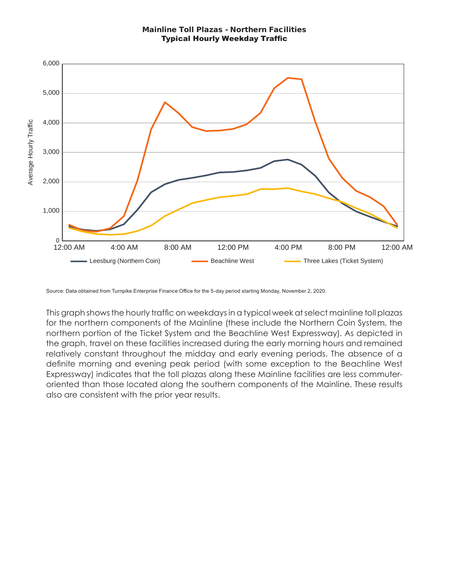

Source: Data obtained from Turnpike Enterprise Finance Office for the 5-day period starting Monday, November 2, 2020.

This graph shows the hourly traffic on weekdays in a typical week at select mainline toll plazas for the northern components of the Mainline (these include the Northern Coin System, the northern portion of the Ticket System and the Beachline West Expressway). As depicted in the graph, travel on these facilities increased during the early morning hours and remained relatively constant throughout the midday and early evening periods. The absence of a definite morning and evening peak period (with some exception to the Beachline West Expressway) indicates that the toll plazas along these Mainline facilities are less commuteroriented than those located along the southern components of the Mainline. These results also are consistent with the prior year results.